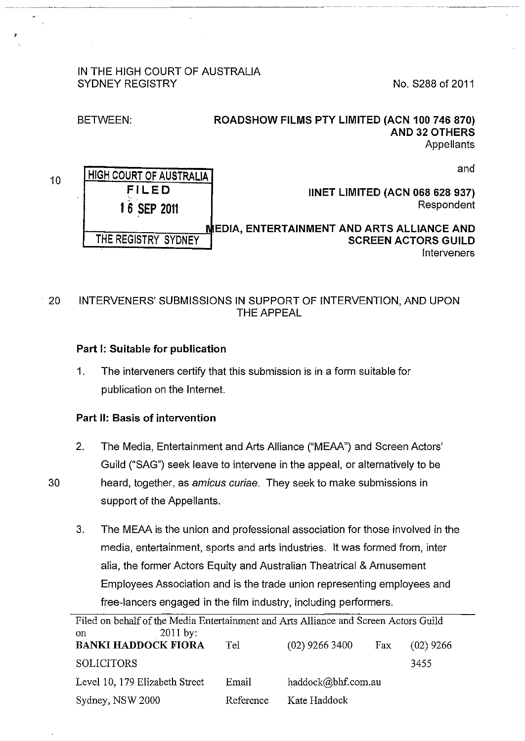## IN THE HIGH COURT OF AUSTRALIA SYDNEY REGISTRY NO. S288 of 2011

BETWEEN:

.

# ROADSHOW FILMS PTY LIMITED (ACN 100 746 870) AND 32 OTHERS **Appellants**

and

| and                                        | ∐HIGH COURT OF AUSTRALIA <del>I</del> |
|--------------------------------------------|---------------------------------------|
| <b>IINET LIMITED (ACN 068 628 937)</b>     | <b>FILED</b>                          |
| Respondent                                 | 16 SEP 2011                           |
| MEDIA, ENTERTAINMENT AND ARTS ALLIANCE AND |                                       |
| <b>SCREEN ACTORS GUILD</b>                 | THE REGISTRY SYDNEY                   |
| Interveners                                |                                       |

20 INTERVENERS' SUBMISSIONS IN SUPPORT OF INTERVENTION, AND UPON THE APPEAL

# Part 1: Suitable for publication

1. The interveners certify that this submission is in a form suitable for publication on the Internet.

# Part II: Basis of intervention

- 2. The Media, Entertainment and Arts Alliance ("MEAA") and Screen Actors' Guild ("SAG") seek leave to intervene in the appeal, or alternatively to be 30 heard, together, as *amicus curiae.* They seek to make submissions in support of the Appellants.
	- 3. The MEAA is the union and professional association for those involved in the media, entertainment, sports and arts industries. It was formed from, inter alia, the former Actors Equity and Australian Theatrical & Amusement Employees Association and is the trade union representing employees and free-lancers engaged in the film industry, including performers.

| Filed on behalf of the Media Entertainment and Arts Alliance and Screen Actors Guild |           |                    |     |             |  |  |
|--------------------------------------------------------------------------------------|-----------|--------------------|-----|-------------|--|--|
| $2011$ by:<br>on<br><b>BANKI HADDOCK FIORA</b>                                       | Tel       | $(02)$ 9266 3400   | Fax | $(02)$ 9266 |  |  |
|                                                                                      |           |                    |     |             |  |  |
| <b>SOLICITORS</b>                                                                    |           |                    |     | 3455        |  |  |
| Level 10, 179 Elizabeth Street                                                       | Email     | haddock@bhf.com.au |     |             |  |  |
| Sydney, NSW 2000                                                                     | Reference | Kate Haddock       |     |             |  |  |

10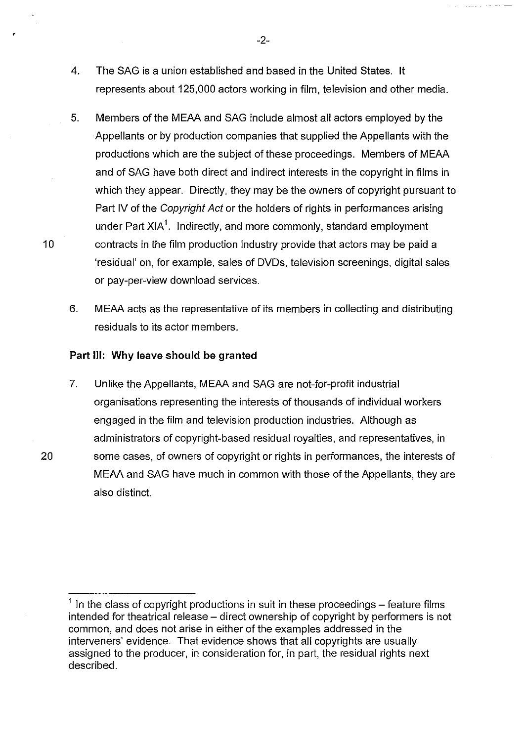- 4. The SAG is a union established and based in the United States. It represents about 125,000 actors working in film, television and other media.
- 5. Members of the MEAA and SAG include almost all actors employed by the Appellants or by production companies that supplied the Appellants with the productions which are the subject of these proceedings. Members of MEAA and of SAG have both direct and indirect interests in the copyright in films in which they appear. Directly, they may be the owners of copyright pursuant to Part IV of the Copyright Act or the holders of rights in performances arising under Part XIA $^{\mathsf{1}}$ . Indirectly, and more commonly, standard employment 10 contracts in the film production industry provide that actors may be paid a 'residual' on, for example, sales of DVDs, television screenings, digital sales or pay-per-view download services.
	- 6. MEAA acts as the representative of its members in collecting and distributing residuals to its actor members.

#### **Part Ill: Why leave should be granted**

7. Unlike the Appellants, MEAA and SAG are not-for-profit industrial organisations representing the interests of thousands of individual workers engaged in the film and television production industries. Although as administrators of copyright-based residual royalties, and representatives, in 20 some cases, of owners of copyright or rights in performances, the interests of MEAA and SAG have much in common with those of the Appellants, they are also distinct.

 $1$  In the class of copyright productions in suit in these proceedings – feature films intended for theatrical release – direct ownership of copyright by performers is not common, and does not arise in either of the examples addressed in the interveners' evidence. That evidence shows that all copyrights are usually assigned to the producer, in consideration for, in part, the residual rights next described.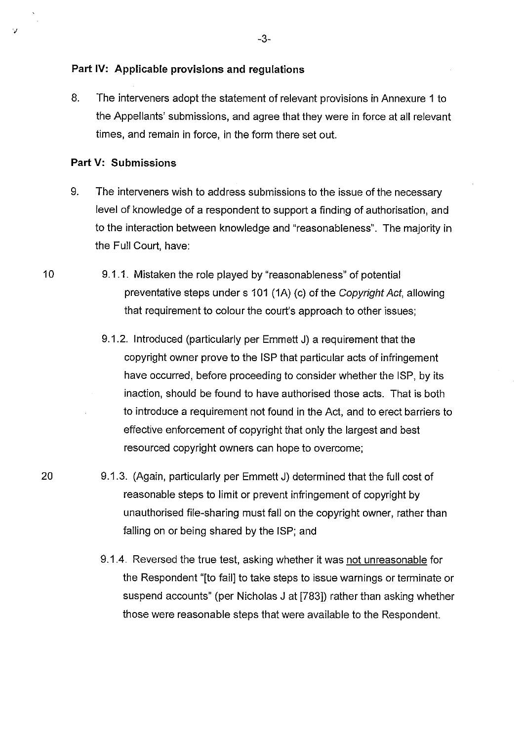## **Part IV: Applicable provisions and regulations**

8. The interveners adopt the statement of relevant provisions in Annexure 1 to the Appellants' submissions, and agree that they were in force at all relevant times, and remain in force, in the form there set out.

# **Part V: Submissions**

- 9. The interveners wish to address submissions to the issue of the necessary level of knowledge of a respondent to support a finding of authorisation, and to the interaction between knowledge and "reasonableness". The majority in the Full Court, have:
- 10 9.1.1. Mistaken the role played by "reasonableness" of potential preventative steps under s 101 (1A) (c) of the Copyright Act, allowing that requirement to colour the court's approach to other issues;
	- 9.1.2. Introduced (particularly per Emmett J) a requirement that the copyright owner prove to the ISP that particular acts of infringement have occurred, before proceeding to consider whether the ISP, by its inaction, should be found to have authorised those acts. That is both to introduce a requirement not found in the Act, and to erect barriers to effective enforcement of copyright that only the largest and best resourced copyright owners can hope to overcome;
- 20 9.1.3. (Again, particularly per Emmett J) determined that the full cost of reasonable steps to limit or prevent infringement of copyright by unauthorised file-sharing must fall on the copyright owner, rather than falling on or being shared by the ISP; and
	- 9.1.4. Reversed the true test, asking whether it was not unreasonable for the Respondent "[to fail] to take steps to issue warnings or terminate or suspend accounts" (per Nicholas J at [783]) rather than asking whether those were reasonable steps that were available to the Respondent.

·;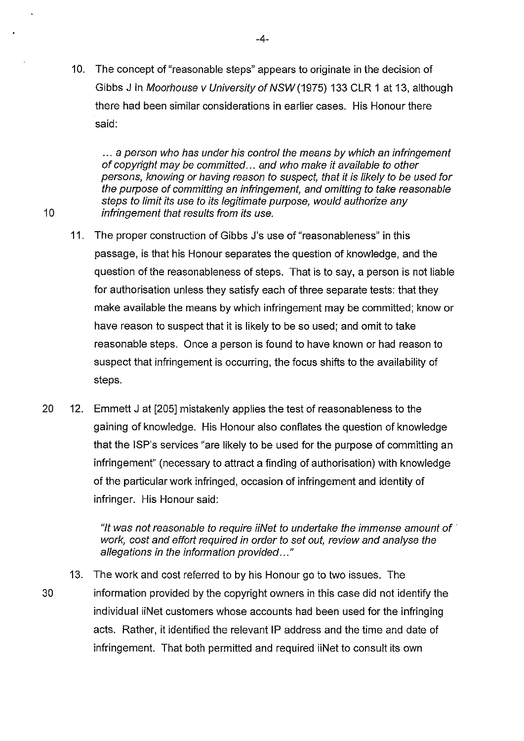10. The concept of"reasonable steps" appears to originate in the decision of Gibbs J in Moorhouse v University of NSW (1975) 133 CLR 1 at 13, although there had been similar considerations in earlier cases. His Honour there said:

... a person who has under his control the means by which an infringement of copyright may be committed ... and who make it available to other persons, knowing or having reason to suspect, that it is likely to be used for the purpose of committing an infringement, and omitting to take reasonable steps to limit its use to its legitimate purpose, would authorize any 10 **infringement that results from its use.** 

- 11. The proper construction of Gibbs J's use of "reasonableness" in this passage, is that his Honour separates the question of knowledge, and the question of the reasonableness of steps. That is to say, a person is not liable for authorisation unless they satisfy each of three separate tests: that they make available the means by which infringement may be committed; know or have reason to suspect that it is likely to be so used; and omit to take reasonable steps. Once a person is found to have known or had reason to suspect that infringement is occurring, the focus shifts to the availability of steps.
- 20 12. Emmett J at [205] mistakenly applies the test of reasonableness to the gaining of knowledge. His Honour also conflates the question of knowledge that the ISP's services "are likely to be used for the purpose of committing an infringement" (necessary to attract a finding of authorisation) with knowledge of the particular work infringed, occasion of infringement and identity of infringer. His Honour said:

"It was not reasonable to require iiNet to undertake the immense amount of  $\dot{\ }$ work, cost and effort required in order to set out, review and analyse the allegations in the information provided..."

13. The work and cost referred to by his Honour go to two issues. The 30 information provided by the copyright owners in this case did not identify the individual iiNet customers whose accounts had been used for the infringing acts. Rather, it identified the relevant IP address and the time and date of infringement. That both permitted and required iiNet to consult its own

-4-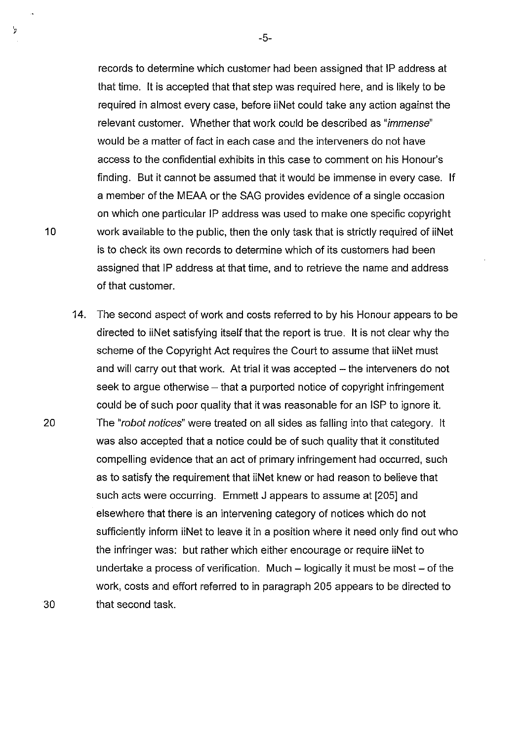records to determine which customer had been assigned that IP address at that time. It is accepted that that step was required here, and is likely to be required in almost every case, before iiNet could take any action against the relevant customer. Whether that work could be described as "immense" would be a matter of fact in each case and the interveners do not have access to the confidential exhibits in this case to comment on his Honour's finding. But it cannot be assumed that it would be immense in every case. If a member of the MEAA or the SAG provides evidence of a single occasion on which one particular IP address was used to make one specific copyright 10 work available to the public, then the only task that is strictly required of iiNet is to check its own records to determine which of its customers had been assigned that IP address at that time, and to retrieve the name and address of that customer.

14. The second aspect of work and costs referred to by his Honour appears to be directed to iiNet satisfying itself that the report is true. It is not clear why the scheme of the Copyright Act requires the Court to assume that iiNet must and will carry out that work. At trial it was accepted - the interveners do not seek to argue otherwise – that a purported notice of copyright infringement could be of such poor quality that it was reasonable for an ISP to ignore it. 20 The "robot notices" were treated on all sides as falling into that category. It was also accepted that a notice could be of such quality that it constituted compelling evidence that an act of primary infringement had occurred, such as to satisfy the requirement that iiNet knew or had reason to believe that such acts were occurring. Emmett J appears to assume at [205] and elsewhere that there is an intervening category of notices which do not sufficiently inform iiNet to leave it in a position where it need only find out who the infringer was: but rather which either encourage or require iiNet to undertake a process of verification. Much  $-$  logically it must be most  $-$  of the work, costs and effort referred to in paragraph 205 appears to be directed to 30 that second task.

 $\mathbf{y}$ 

-5-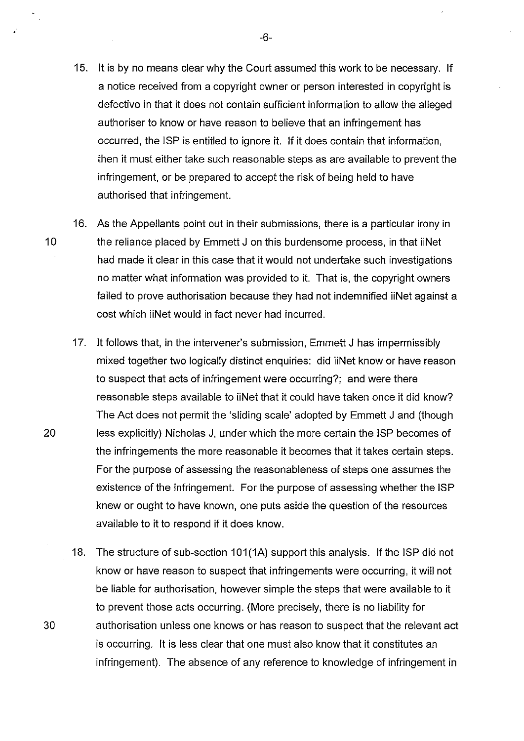- 15. It is by no means clear why the Court assumed this work to be necessary. If a notice received from a copyright owner or person interested in copyright is defective in that it does not contain sufficient information to allow the alleged authoriser to know or have reason to believe that an infringement has occurred, the ISP is entitled to ignore it. If it does contain that information, then it must either take such reasonable steps as are available to prevent the infringement, or be prepared to accept the risk of being held to have authorised that infringement.
- 16. As the Appellants point out in their submissions, there is a particular irony in 10 the reliance placed by Emmett J on this burdensome process, in that iiNet had made it clear in this case that it would not undertake such investigations no matter what information was provided to it. That is, the copyright owners failed to prove authorisation because they had not indemnified iiNet against a cost which iiNet would in fact never had incurred.
- 17. It follows that, in the intervener's submission, Emmett J has impermissibly mixed together two logically distinct enquiries: did iiNet know or have reason to suspect that acts of infringement were occurring?; and were there reasonable steps available to iiNet that it could have taken once it did know? The Act does not permit the 'sliding scale' adopted by Emmett J and (though 20 less explicitly) Nicholas J, under which the more certain the ISP becomes of the infringements the more reasonable it becomes that it takes certain steps. For the purpose of assessing the reasonableness of steps one assumes the existence of the infringement. For the purpose of assessing whether the ISP knew or ought to have known, one puts aside the question of the resources available to it to respond if it does know.
- 18. The structure of sub-section 101(1A) support this analysis. If the ISP did not know or have reason to suspect that infringements were occurring, it will not be liable for authorisation, however simple the steps that were available to it to prevent those acts occurring. (More precisely, there is no liability for 30 authorisation unless one knows or has reason to suspect that the relevant act is occurring. It is less clear that one must also know that it constitutes an infringement). The absence of any reference to knowledge of infringement in

-6-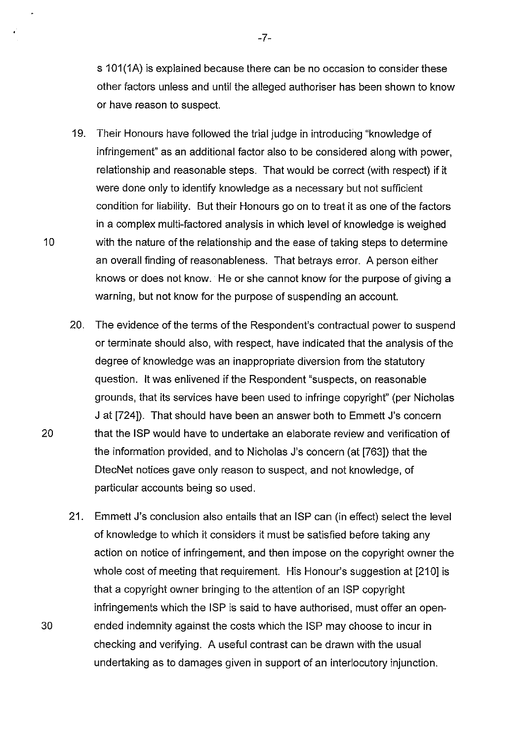s 101(1A) is explained because there can be no occasion to consider these other factors unless and until the alleged authoriser has been shown to know or have reason to suspect.

- 19. Their Honours have followed the trial judge in introducing "knowledge of infringement" as an additional factor also to be considered along with power, relationship and reasonable steps. That would be correct (with respect) if it were done only to identify knowledge as a necessary but not sufficient condition for liability. But their Honours go on to treat it as one of the factors in a complex multi-factored analysis in which level of knowledge is weighed 10 with the nature of the relationship and the ease of taking steps to determine an overall finding of reasonableness. That betrays error. A person either knows or does not know. He or she cannot know for the purpose of giving a warning, but not know for the purpose of suspending an account.
- 20. The evidence of the terms of the Respondent's contractual power to suspend or terminate should also, with respect, have indicated that the analysis of the degree of knowledge was an inappropriate diversion from the statutory question. It was enlivened if the Respondent "suspects, on reasonable grounds, that its services have been used to infringe copyright" (per Nicholas J at [724]). That should have been an answer both to Emmett J's concern 20 that the ISP would have to undertake an elaborate review and verification of the information provided, and to Nicholas J's concern (at [763]) that the DtecNet notices gave only reason to suspect, and not knowledge, of particular accounts being so used.
- 21. Emmett J's conclusion also entails that an ISP can (in effect) select the level of knowledge to which it considers it must be satisfied before taking any action on notice of infringement, and then impose on the copyright owner the whole cost of meeting that requirement. His Honour's suggestion at [210) is that a copyright owner bringing to the attention of an ISP copyright infringements which the ISP is said to have authorised, must offer an open-30 ended indemnity against the costs which the ISP may choose to incur in checking and verifying. A useful contrast can be drawn with the usual undertaking as to damages given in support of an interlocutory injunction.

-7-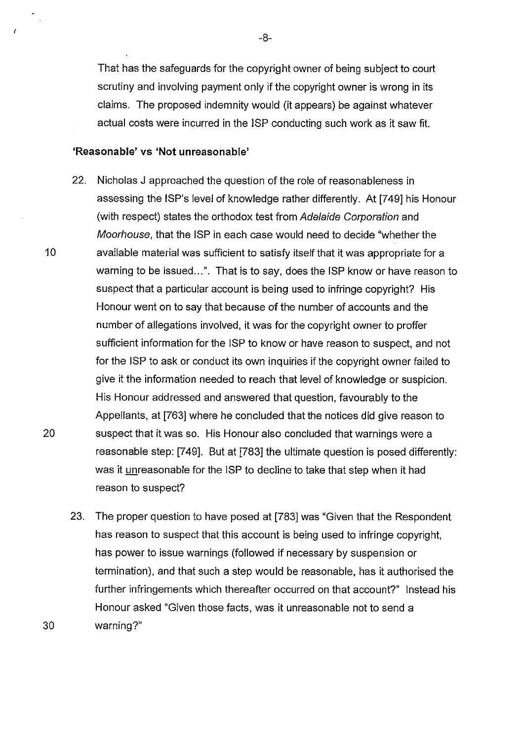That has the safeguards for the copyright owner of being subject to court scrutiny and involving payment only if the copyright owner is wrong in its claims. The proposed indemnity would (it appears) be against whatever actual costs were incurred in the ISP conducting such work as it saw fit.

## **'Reasonable' vs 'Not unreasonable'**

- 22. Nicholas J approached the question of the role of reasonableness in assessing the JSP's level of knowledge rather differently. At [749] his Honour (with respect) states the orthodox test from Adelaide Corporation and Moorhouse, that the ISP in each case would need to decide "whether the 10 available material was sufficient to satisfy itself that it was appropriate for a warning to be issued...". That is to say, does the ISP know or have reason to suspect that a particular account is being used to infringe copyright? His Honour went on to say that because of the number of accounts and the number of allegations involved, it was for the copyright owner to proffer sufficient information for the JSP to know or have reason to suspect, and not for the ISP to ask or conduct its own inquiries if the copyright owner failed to give it the information needed to reach that level of knowledge or suspicion. His Honour addressed and answered that question, favourably to the Appellants, at [763] where he concluded that the notices did give reason to 20 suspect that it was so. His Honour also concluded that warnings were a reasonable step: [749]. But at [783] the ultimate question is posed differently: was it unreasonable for the ISP to decline to take that step when it had reason to suspect?
- 23. The proper question to have posed at [783] was "Given that the Respondent has reason to suspect that this account is being used to infringe copyright, has power to issue warnings (followed if necessary by suspension or termination), and that such a step would be reasonable, has it authorised the further infringements which thereafter occurred on that account?" Instead his Honour asked "Given those facts, was it unreasonable not to send a 30 warning?"

 $\overline{z}$